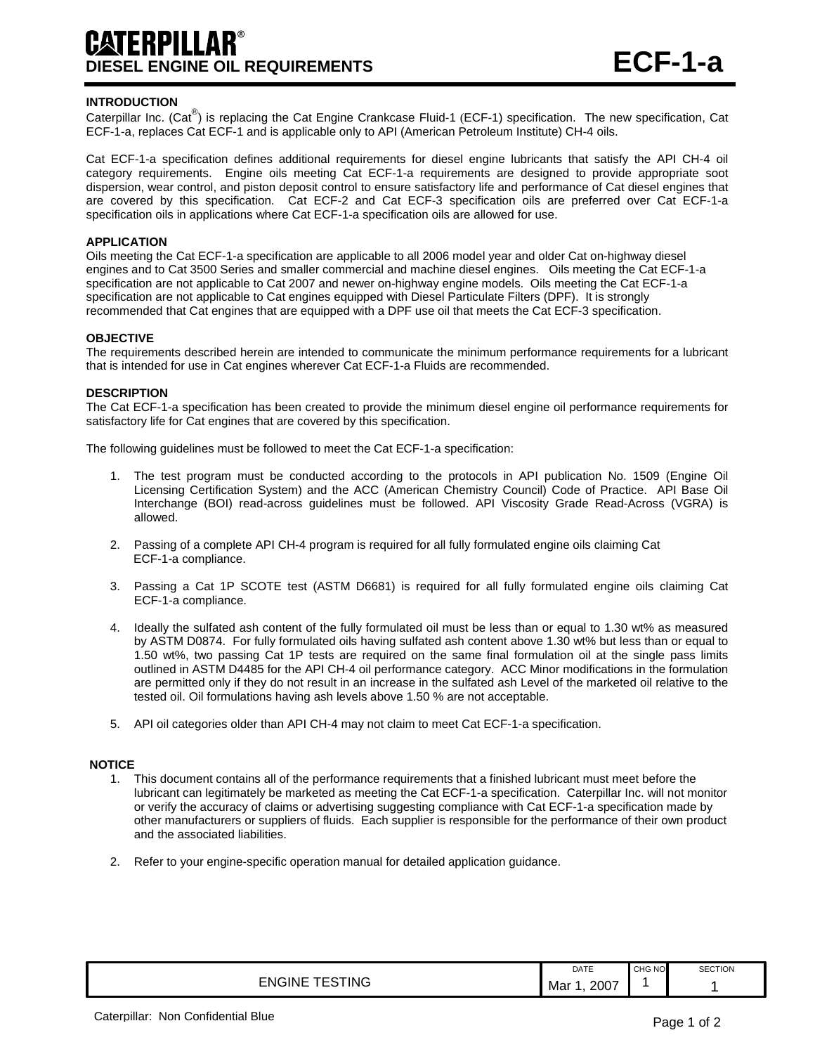## **INTRODUCTION**

Caterpillar Inc. (Cat<sup>®</sup>) is replacing the Cat Engine Crankcase Fluid-1 (ECF-1) specification. The new specification, Cat ECF-1-a, replaces Cat ECF-1 and is applicable only to API (American Petroleum Institute) CH-4 oils.

Cat ECF-1-a specification defines additional requirements for diesel engine lubricants that satisfy the API CH-4 oil category requirements. Engine oils meeting Cat ECF-1-a requirements are designed to provide appropriate soot dispersion, wear control, and piston deposit control to ensure satisfactory life and performance of Cat diesel engines that are covered by this specification. Cat ECF-2 and Cat ECF-3 specification oils are preferred over Cat ECF-1-a specification oils in applications where Cat ECF-1-a specification oils are allowed for use.

### **APPLICATION**

Oils meeting the Cat ECF-1-a specification are applicable to all 2006 model year and older Cat on-highway diesel engines and to Cat 3500 Series and smaller commercial and machine diesel engines. Oils meeting the Cat ECF-1-a specification are not applicable to Cat 2007 and newer on-highway engine models. Oils meeting the Cat ECF-1-a specification are not applicable to Cat engines equipped with Diesel Particulate Filters (DPF). It is strongly recommended that Cat engines that are equipped with a DPF use oil that meets the Cat ECF-3 specification.

### **OBJECTIVE**

The requirements described herein are intended to communicate the minimum performance requirements for a lubricant that is intended for use in Cat engines wherever Cat ECF-1-a Fluids are recommended.

### **DESCRIPTION**

The Cat ECF-1-a specification has been created to provide the minimum diesel engine oil performance requirements for satisfactory life for Cat engines that are covered by this specification.

The following guidelines must be followed to meet the Cat ECF-1-a specification:

- 1. The test program must be conducted according to the protocols in API publication No. 1509 (Engine Oil Licensing Certification System) and the ACC (American Chemistry Council) Code of Practice. API Base Oil Interchange (BOI) read-across guidelines must be followed. API Viscosity Grade Read-Across (VGRA) is allowed.
- 2. Passing of a complete API CH-4 program is required for all fully formulated engine oils claiming Cat ECF-1-a compliance.
- 3. Passing a Cat 1P SCOTE test (ASTM D6681) is required for all fully formulated engine oils claiming Cat ECF-1-a compliance.
- 4. Ideally the sulfated ash content of the fully formulated oil must be less than or equal to 1.30 wt% as measured by ASTM D0874. For fully formulated oils having sulfated ash content above 1.30 wt% but less than or equal to 1.50 wt%, two passing Cat 1P tests are required on the same final formulation oil at the single pass limits outlined in ASTM D4485 for the API CH-4 oil performance category. ACC Minor modifications in the formulation are permitted only if they do not result in an increase in the sulfated ash Level of the marketed oil relative to the tested oil. Oil formulations having ash levels above 1.50 % are not acceptable.
- 5. API oil categories older than API CH-4 may not claim to meet Cat ECF-1-a specification.

### **NOTICE**

- 1. This document contains all of the performance requirements that a finished lubricant must meet before the lubricant can legitimately be marketed as meeting the Cat ECF-1-a specification. Caterpillar Inc. will not monitor or verify the accuracy of claims or advertising suggesting compliance with Cat ECF-1-a specification made by other manufacturers or suppliers of fluids. Each supplier is responsible for the performance of their own product and the associated liabilities.
- 2. Refer to your engine-specific operation manual for detailed application guidance.

|                                                    | DATE              | CHG NO | <b>SECTION</b> |
|----------------------------------------------------|-------------------|--------|----------------|
| STING<br>$\overline{\phantom{a}}$<br>FNGINF<br>- - | 2007<br>Mar<br>__ |        |                |